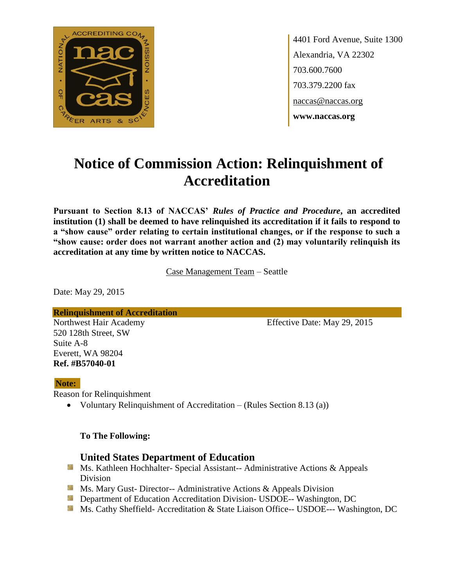

4401 Ford Avenue, Suite 1300 Alexandria, VA 22302 703.600.7600 703.379.2200 fax naccas@naccas.org **www.naccas.org**

# **Notice of Commission Action: Relinquishment of Accreditation**

**Pursuant to Section 8.13 of NACCAS'** *Rules of Practice and Procedure***, an accredited institution (1) shall be deemed to have relinquished its accreditation if it fails to respond to a "show cause" order relating to certain institutional changes, or if the response to such a "show cause: order does not warrant another action and (2) may voluntarily relinquish its accreditation at any time by written notice to NACCAS.**

Case Management Team – Seattle

Date: May 29, 2015

**Relinquishment of Accreditation**

520 128th Street, SW Suite A-8 Everett, WA 98204 **Ref. #B57040-01**

Northwest Hair Academy Effective Date: May 29, 2015

#### **Note:**

Reason for Relinquishment

• Voluntary Relinquishment of Accreditation – (Rules Section 8.13 (a))

#### **To The Following:**

### **United States Department of Education**

- **Ms. Kathleen Hochhalter- Special Assistant-- Administrative Actions & Appeals** Division
- **Ms.** Mary Gust- Director-- Administrative Actions  $\&$  Appeals Division
- **Department of Education Accreditation Division- USDOE-- Washington, DC**
- Ms. Cathy Sheffield- Accreditation & State Liaison Office-- USDOE--- Washington, DC